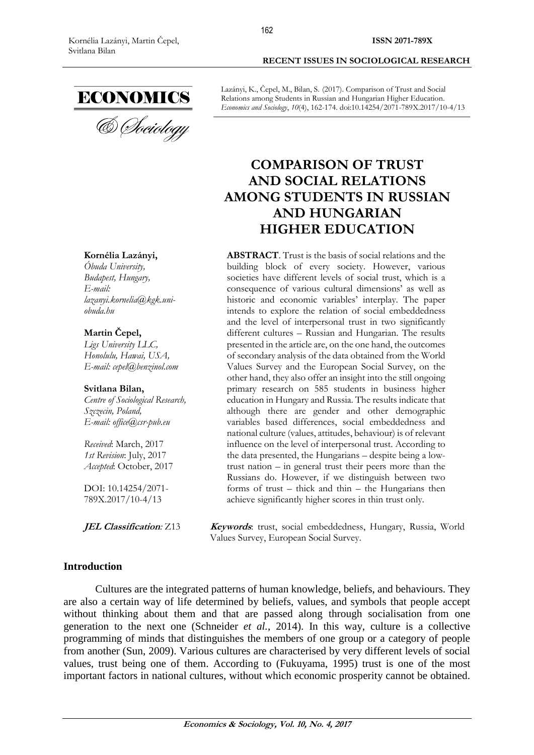

#### **Kornélia Lazányi,**

*Óbuda University, Budapest, Hungary, E-mail: [lazanyi.kornelia@kgk.uni](mailto:lazanyi.kornelia@kgk.uni-obuda.hu)[obuda.hu](mailto:lazanyi.kornelia@kgk.uni-obuda.hu)*

### **Martin Čepel,**

*Ligs University LLC, Honolulu, Hawai, USA, E-mail: [cepel@benzinol.com](mailto:cepel@benzinol.com)*

### **Svitlana Bilan,**

*Centre of Sociological Research, Szczecin, Poland, E-mail: office@csr-pub.eu*

*Received*: March, 2017 *1st Revision*: July, 2017 *Accepted*: October, 2017

DOI: 10.14254/2071- 789X.2017/10-4/13

**ISSN 2071-789X**

Lazányi, K., Čepel, M., Bilan, S. (2017). Comparison of Trust and Social Relations among Students in Russian and Hungarian Higher Education. *Economics and Sociology*, *10*(4), 162-174. doi:10.14254/2071-789X.2017/10-4/13

# **COMPARISON OF TRUST AND SOCIAL RELATIONS AMONG STUDENTS IN RUSSIAN AND HUNGARIAN HIGHER EDUCATION**

**ABSTRACT**. Trust is the basis of social relations and the building block of every society. However, various societies have different levels of social trust, which is a consequence of various cultural dimensions' as well as historic and economic variables' interplay. The paper intends to explore the relation of social embeddedness and the level of interpersonal trust in two significantly different cultures – Russian and Hungarian. The results presented in the article are, on the one hand, the outcomes of secondary analysis of the data obtained from the World Values Survey and the European Social Survey, on the other hand, they also offer an insight into the still ongoing primary research on 585 students in business higher education in Hungary and Russia. The results indicate that although there are gender and other demographic variables based differences, social embeddedness and national culture (values, attitudes, behaviour) is of relevant influence on the level of interpersonal trust. According to the data presented, the Hungarians – despite being a lowtrust nation – in general trust their peers more than the Russians do. However, if we distinguish between two forms of trust – thick and thin – the Hungarians then achieve significantly higher scores in thin trust only.

**JEL Classification:** Z13 **Keywords**: trust, social embeddedness, Hungary, Russia, World Values Survey, European Social Survey.

#### **Introduction**

Cultures are the integrated patterns of human knowledge, beliefs, and behaviours. They are also a certain way of life determined by beliefs, values, and symbols that people accept without thinking about them and that are passed along through socialisation from one generation to the next one (Schneider *et al.*, 2014). In this way, culture is a collective programming of minds that distinguishes the members of one group or a category of people from another (Sun, 2009). Various cultures are characterised by very different levels of social values, trust being one of them. According to (Fukuyama, 1995) trust is one of the most important factors in national cultures, without which economic prosperity cannot be obtained.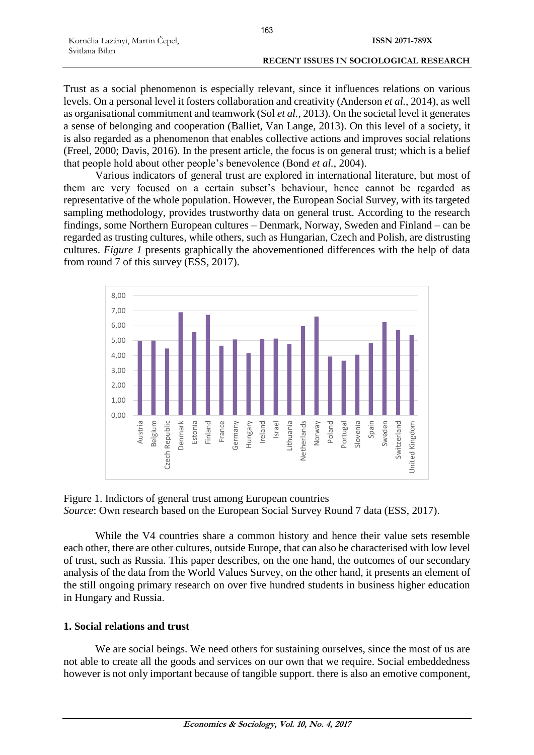Trust as a social phenomenon is especially relevant, since it influences relations on various levels. On a personal level it fosters collaboration and creativity (Anderson *et al.*, 2014), as well as organisational commitment and teamwork (Sol *et al.*, 2013). On the societal level it generates a sense of belonging and cooperation (Balliet, Van Lange, 2013). On this level of a society, it is also regarded as a phenomenon that enables collective actions and improves social relations (Freel, 2000; Davis, 2016). In the present article, the focus is on general trust; which is a belief that people hold about other people's benevolence (Bond *et al.*, 2004).

Various indicators of general trust are explored in international literature, but most of them are very focused on a certain subset's behaviour, hence cannot be regarded as representative of the whole population. However, the European Social Survey, with its targeted sampling methodology, provides trustworthy data on general trust. According to the research findings, some Northern European cultures – Denmark, Norway, Sweden and Finland – can be regarded as trusting cultures, while others, such as Hungarian, Czech and Polish, are distrusting cultures. *Figure 1* presents graphically the abovementioned differences with the help of data from round 7 of this survey (ESS, 2017).



Figure 1. Indictors of general trust among European countries *Source*: Own research based on the European Social Survey Round 7 data (ESS, 2017).

While the V4 countries share a common history and hence their value sets resemble each other, there are other cultures, outside Europe, that can also be characterised with low level of trust, such as Russia. This paper describes, on the one hand, the outcomes of our secondary analysis of the data from the World Values Survey, on the other hand, it presents an element of the still ongoing primary research on over five hundred students in business higher education in Hungary and Russia.

# **1. Social relations and trust**

We are social beings. We need others for sustaining ourselves, since the most of us are not able to create all the goods and services on our own that we require. Social embeddedness however is not only important because of tangible support. there is also an emotive component,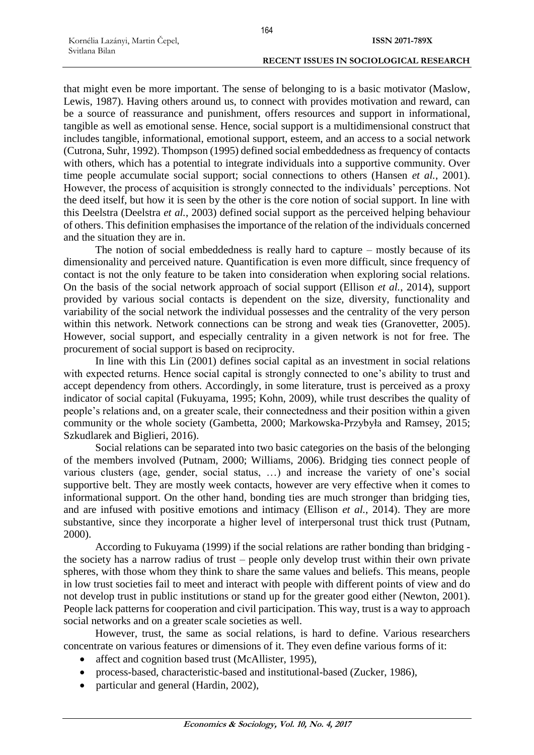that might even be more important. The sense of belonging to is a basic motivator (Maslow, Lewis, 1987). Having others around us, to connect with provides motivation and reward, can be a source of reassurance and punishment, offers resources and support in informational, tangible as well as emotional sense. Hence, social support is a multidimensional construct that includes tangible, informational, emotional support, esteem, and an access to a social network (Cutrona, Suhr, 1992). Thompson (1995) defined social embeddedness as frequency of contacts with others, which has a potential to integrate individuals into a supportive community. Over time people accumulate social support; social connections to others (Hansen *et al.*, 2001). However, the process of acquisition is strongly connected to the individuals' perceptions. Not the deed itself, but how it is seen by the other is the core notion of social support. In line with this Deelstra (Deelstra *et al.*, 2003) defined social support as the perceived helping behaviour of others. This definition emphasises the importance of the relation of the individuals concerned and the situation they are in.

The notion of social embeddedness is really hard to capture – mostly because of its dimensionality and perceived nature. Quantification is even more difficult, since frequency of contact is not the only feature to be taken into consideration when exploring social relations. On the basis of the social network approach of social support (Ellison *et al.*, 2014), support provided by various social contacts is dependent on the size, diversity, functionality and variability of the social network the individual possesses and the centrality of the very person within this network. Network connections can be strong and weak ties (Granovetter, 2005). However, social support, and especially centrality in a given network is not for free. The procurement of social support is based on reciprocity.

In line with this Lin (2001) defines social capital as an investment in social relations with expected returns. Hence social capital is strongly connected to one's ability to trust and accept dependency from others. Accordingly, in some literature, trust is perceived as a proxy indicator of social capital (Fukuyama, 1995; Kohn, 2009), while trust describes the quality of people's relations and, on a greater scale, their connectedness and their position within a given community or the whole society (Gambetta, 2000; Markowska-Przybyła and Ramsey, 2015; Szkudlarek and Biglieri, 2016).

Social relations can be separated into two basic categories on the basis of the belonging of the members involved (Putnam, 2000; Williams, 2006). Bridging ties connect people of various clusters (age, gender, social status, …) and increase the variety of one's social supportive belt. They are mostly week contacts, however are very effective when it comes to informational support. On the other hand, bonding ties are much stronger than bridging ties, and are infused with positive emotions and intimacy (Ellison *et al.*, 2014). They are more substantive, since they incorporate a higher level of interpersonal trust thick trust (Putnam, 2000).

According to Fukuyama (1999) if the social relations are rather bonding than bridging the society has a narrow radius of trust – people only develop trust within their own private spheres, with those whom they think to share the same values and beliefs. This means, people in low trust societies fail to meet and interact with people with different points of view and do not develop trust in public institutions or stand up for the greater good either (Newton, 2001). People lack patterns for cooperation and civil participation. This way, trust is a way to approach social networks and on a greater scale societies as well.

However, trust, the same as social relations, is hard to define. Various researchers concentrate on various features or dimensions of it. They even define various forms of it:

- affect and cognition based trust (McAllister, 1995).
- process-based, characteristic-based and institutional-based (Zucker, 1986),
- particular and general (Hardin, 2002),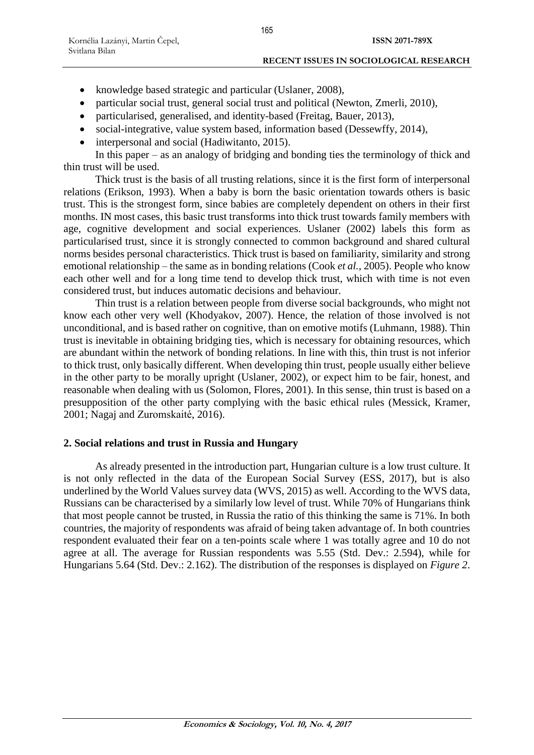- knowledge based strategic and particular (Uslaner, 2008),
- particular social trust, general social trust and political (Newton, Zmerli, 2010),
- particularised, generalised, and identity-based (Freitag, Bauer, 2013),
- social-integrative, value system based, information based (Dessewffy, 2014),
- interpersonal and social (Hadiwitanto, 2015).

In this paper – as an analogy of bridging and bonding ties the terminology of thick and thin trust will be used.

Thick trust is the basis of all trusting relations, since it is the first form of interpersonal relations (Erikson, 1993). When a baby is born the basic orientation towards others is basic trust. This is the strongest form, since babies are completely dependent on others in their first months. IN most cases, this basic trust transforms into thick trust towards family members with age, cognitive development and social experiences. Uslaner (2002) labels this form as particularised trust, since it is strongly connected to common background and shared cultural norms besides personal characteristics. Thick trust is based on familiarity, similarity and strong emotional relationship – the same as in bonding relations (Cook *et al.*, 2005). People who know each other well and for a long time tend to develop thick trust, which with time is not even considered trust, but induces automatic decisions and behaviour.

Thin trust is a relation between people from diverse social backgrounds, who might not know each other very well (Khodyakov, 2007). Hence, the relation of those involved is not unconditional, and is based rather on cognitive, than on emotive motifs (Luhmann, 1988). Thin trust is inevitable in obtaining bridging ties, which is necessary for obtaining resources, which are abundant within the network of bonding relations. In line with this, thin trust is not inferior to thick trust, only basically different. When developing thin trust, people usually either believe in the other party to be morally upright (Uslaner, 2002), or expect him to be fair, honest, and reasonable when dealing with us (Solomon, Flores, 2001). In this sense, thin trust is based on a presupposition of the other party complying with the basic ethical rules (Messick, Kramer, 2001; Nagaj and Zuromskaité, 2016).

# **2. Social relations and trust in Russia and Hungary**

As already presented in the introduction part, Hungarian culture is a low trust culture. It is not only reflected in the data of the European Social Survey (ESS, 2017), but is also underlined by the World Values survey data (WVS, 2015) as well. According to the WVS data, Russians can be characterised by a similarly low level of trust. While 70% of Hungarians think that most people cannot be trusted, in Russia the ratio of this thinking the same is 71%. In both countries, the majority of respondents was afraid of being taken advantage of. In both countries respondent evaluated their fear on a ten-points scale where 1 was totally agree and 10 do not agree at all. The average for Russian respondents was 5.55 (Std. Dev.: 2.594), while for Hungarians 5.64 (Std. Dev.: 2.162). The distribution of the responses is displayed on *Figure 2*.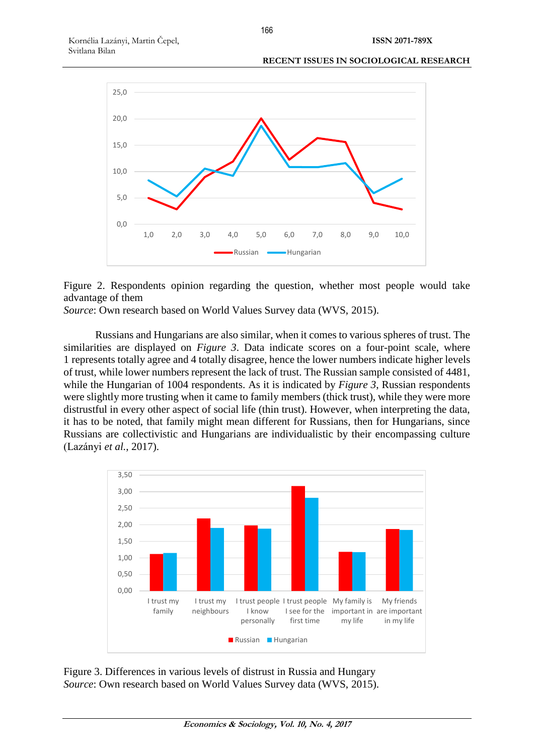

Figure 2. Respondents opinion regarding the question, whether most people would take advantage of them

*Source*: Own research based on World Values Survey data (WVS, 2015).

Russians and Hungarians are also similar, when it comes to various spheres of trust. The similarities are displayed on *Figure 3*. Data indicate scores on a four-point scale, where 1 represents totally agree and 4 totally disagree, hence the lower numbers indicate higher levels of trust, while lower numbers represent the lack of trust. The Russian sample consisted of 4481, while the Hungarian of 1004 respondents. As it is indicated by *Figure 3*, Russian respondents were slightly more trusting when it came to family members (thick trust), while they were more distrustful in every other aspect of social life (thin trust). However, when interpreting the data, it has to be noted, that family might mean different for Russians, then for Hungarians, since Russians are collectivistic and Hungarians are individualistic by their encompassing culture (Lazányi *et al.*, 2017).



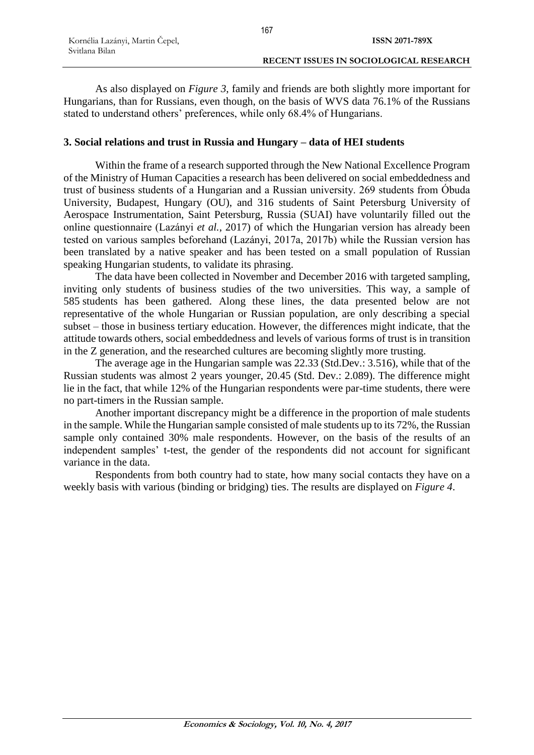As also displayed on *Figure 3*, family and friends are both slightly more important for Hungarians, than for Russians, even though, on the basis of WVS data 76.1% of the Russians stated to understand others' preferences, while only 68.4% of Hungarians.

# **3. Social relations and trust in Russia and Hungary – data of HEI students**

Within the frame of a research supported through the New National Excellence Program of the Ministry of Human Capacities a research has been delivered on social embeddedness and trust of business students of a Hungarian and a Russian university. 269 students from Óbuda University, Budapest, Hungary (OU), and 316 students of Saint Petersburg University of Aerospace Instrumentation, Saint Petersburg, Russia (SUAI) have voluntarily filled out the online questionnaire (Lazányi *et al.*, 2017) of which the Hungarian version has already been tested on various samples beforehand (Lazányi, 2017a, 2017b) while the Russian version has been translated by a native speaker and has been tested on a small population of Russian speaking Hungarian students, to validate its phrasing.

The data have been collected in November and December 2016 with targeted sampling, inviting only students of business studies of the two universities. This way, a sample of 585 students has been gathered. Along these lines, the data presented below are not representative of the whole Hungarian or Russian population, are only describing a special subset – those in business tertiary education. However, the differences might indicate, that the attitude towards others, social embeddedness and levels of various forms of trust is in transition in the Z generation, and the researched cultures are becoming slightly more trusting.

The average age in the Hungarian sample was 22.33 (Std.Dev.: 3.516), while that of the Russian students was almost 2 years younger, 20.45 (Std. Dev.: 2.089). The difference might lie in the fact, that while 12% of the Hungarian respondents were par-time students, there were no part-timers in the Russian sample.

Another important discrepancy might be a difference in the proportion of male students in the sample. While the Hungarian sample consisted of male students up to its 72%, the Russian sample only contained 30% male respondents. However, on the basis of the results of an independent samples' t-test, the gender of the respondents did not account for significant variance in the data.

Respondents from both country had to state, how many social contacts they have on a weekly basis with various (binding or bridging) ties. The results are displayed on *Figure 4*.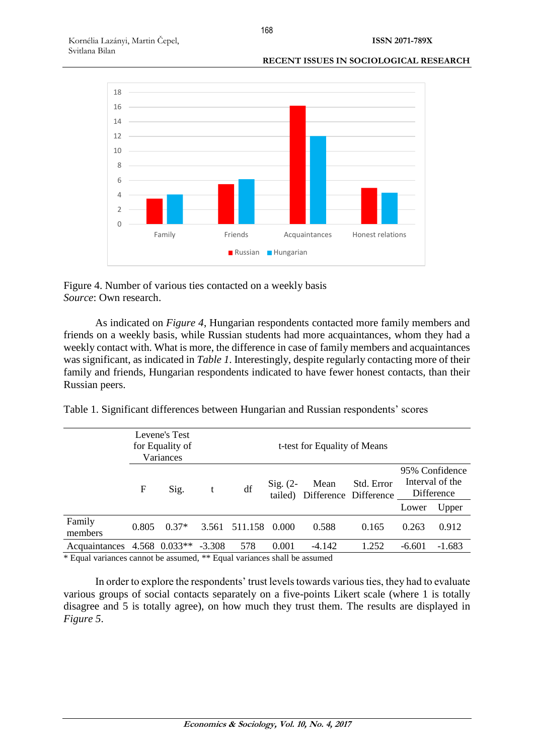**ISSN 2071-789X**

### **RECENT ISSUES IN SOCIOLOGICAL RESEARCH**



Figure 4. Number of various ties contacted on a weekly basis *Source*: Own research.

As indicated on *Figure 4*, Hungarian respondents contacted more family members and friends on a weekly basis, while Russian students had more acquaintances, whom they had a weekly contact with. What is more, the difference in case of family members and acquaintances was significant, as indicated in *Table 1*. Interestingly, despite regularly contacting more of their family and friends, Hungarian respondents indicated to have fewer honest contacts, than their Russian peers.

|  |  |  | Table 1. Significant differences between Hungarian and Russian respondents' scores |  |
|--|--|--|------------------------------------------------------------------------------------|--|
|  |  |  |                                                                                    |  |

|                                    | Levene's Test<br>for Equality of<br>Variances |           |  |               |                       | t-test for Equality of Means |                                     |                                                 |          |
|------------------------------------|-----------------------------------------------|-----------|--|---------------|-----------------------|------------------------------|-------------------------------------|-------------------------------------------------|----------|
|                                    | F                                             | Sig.<br>t |  | df            | $Sig. (2-$<br>tailed) | Mean                         | Std. Error<br>Difference Difference | 95% Confidence<br>Interval of the<br>Difference |          |
|                                    |                                               |           |  |               |                       |                              |                                     | Lower                                           | Upper    |
| Family<br>members                  | 0.805                                         | $0.37*$   |  | 3.561 511.158 | 0.000                 | 0.588                        | 0.165                               | 0.263                                           | 0.912    |
| Acquaintances 4.568 0.033** -3.308 |                                               |           |  | 578           | 0.001                 | $-4.142$                     | 1.252                               | $-6.601$                                        | $-1.683$ |

\* Equal variances cannot be assumed, \*\* Equal variances shall be assumed

In order to explore the respondents' trust levels towards various ties, they had to evaluate various groups of social contacts separately on a five-points Likert scale (where 1 is totally disagree and 5 is totally agree), on how much they trust them. The results are displayed in *Figure 5*.

168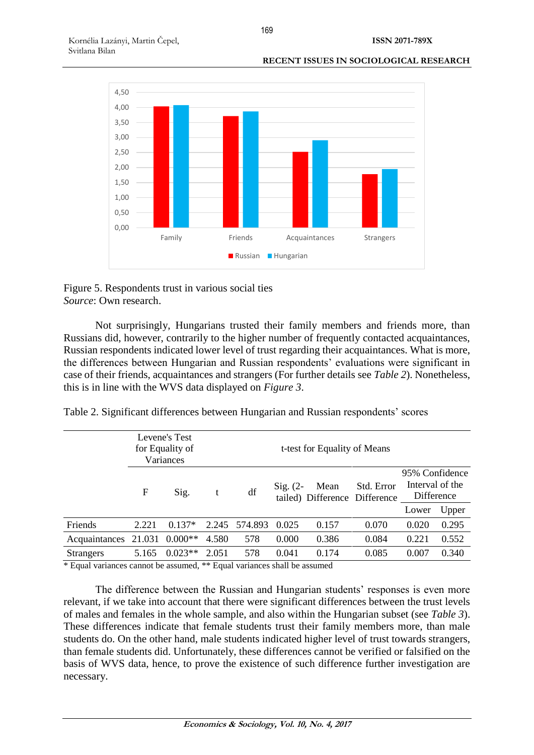

Figure 5. Respondents trust in various social ties *Source*: Own research.

Not surprisingly, Hungarians trusted their family members and friends more, than Russians did, however, contrarily to the higher number of frequently contacted acquaintances, Russian respondents indicated lower level of trust regarding their acquaintances. What is more, the differences between Hungarian and Russian respondents' evaluations were significant in case of their friends, acquaintances and strangers (For further details see *Table 2*). Nonetheless, this is in line with the WVS data displayed on *Figure 3*.

|  |  |  | Table 2. Significant differences between Hungarian and Russian respondents' scores |  |
|--|--|--|------------------------------------------------------------------------------------|--|
|  |  |  |                                                                                    |  |

|                  |        | Levene's Test<br>for Equality of<br>Variances |       |         |            | t-test for Equality of Means          |            |                                                 |       |
|------------------|--------|-----------------------------------------------|-------|---------|------------|---------------------------------------|------------|-------------------------------------------------|-------|
|                  | F      | Sig.                                          | t     | df      | Sig. $(2-$ | Mean<br>tailed) Difference Difference | Std. Error | 95% Confidence<br>Interval of the<br>Difference |       |
|                  |        |                                               |       |         |            |                                       |            | Lower                                           | Upper |
| Friends          | 2.221  | $0.137*$                                      | 2.245 | 574.893 | 0.025      | 0.157                                 | 0.070      | 0.020                                           | 0.295 |
| Acquaintances    | 21.031 | $0.000**$                                     | 4.580 | 578     | 0.000      | 0.386                                 | 0.084      | 0.221                                           | 0.552 |
| <b>Strangers</b> | 5.165  | $0.023**$                                     | 2.051 | 578     | 0.041      | 0.174                                 | 0.085      | 0.007                                           | 0.340 |

\* Equal variances cannot be assumed, \*\* Equal variances shall be assumed

The difference between the Russian and Hungarian students' responses is even more relevant, if we take into account that there were significant differences between the trust levels of males and females in the whole sample, and also within the Hungarian subset (see *Table 3*). These differences indicate that female students trust their family members more, than male students do. On the other hand, male students indicated higher level of trust towards strangers, than female students did. Unfortunately, these differences cannot be verified or falsified on the basis of WVS data, hence, to prove the existence of such difference further investigation are necessary.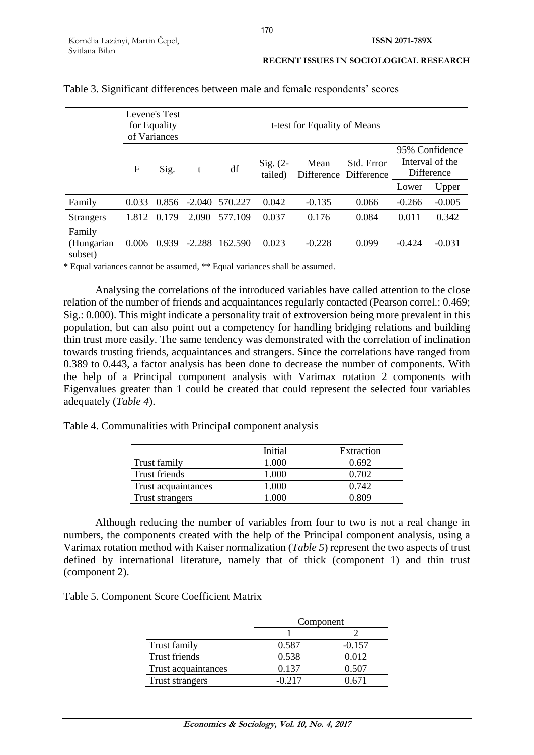|                                 | Levene's Test<br>for Equality<br>of Variances |       |          |         |                       | t-test for Equality of Means |                                     |          |                                                 |
|---------------------------------|-----------------------------------------------|-------|----------|---------|-----------------------|------------------------------|-------------------------------------|----------|-------------------------------------------------|
|                                 | F                                             | Sig.  | t        | df      | $Sig. (2-$<br>tailed) | Mean                         | Std. Error<br>Difference Difference |          | 95% Confidence<br>Interval of the<br>Difference |
|                                 |                                               |       |          |         |                       |                              |                                     | Lower    | Upper                                           |
| Family                          | 0.033                                         | 0.856 | -2.040   | 570.227 | 0.042                 | $-0.135$                     | 0.066                               | $-0.266$ | $-0.005$                                        |
| <b>Strangers</b>                | 1.812                                         | 0.179 | 2.090    | 577.109 | 0.037                 | 0.176                        | 0.084                               | 0.011    | 0.342                                           |
| Family<br>(Hungarian<br>subset) | 0.006                                         | 0.939 | $-2.288$ | 162.590 | 0.023                 | $-0.228$                     | 0.099                               | $-0.424$ | $-0.031$                                        |

### Table 3. Significant differences between male and female respondents' scores

\* Equal variances cannot be assumed, \*\* Equal variances shall be assumed.

Analysing the correlations of the introduced variables have called attention to the close relation of the number of friends and acquaintances regularly contacted (Pearson correl.: 0.469; Sig.: 0.000). This might indicate a personality trait of extroversion being more prevalent in this population, but can also point out a competency for handling bridging relations and building thin trust more easily. The same tendency was demonstrated with the correlation of inclination towards trusting friends, acquaintances and strangers. Since the correlations have ranged from 0.389 to 0.443, a factor analysis has been done to decrease the number of components. With the help of a Principal component analysis with Varimax rotation 2 components with Eigenvalues greater than 1 could be created that could represent the selected four variables adequately (*Table 4*).

Table 4. Communalities with Principal component analysis

|                     | Initial | Extraction |
|---------------------|---------|------------|
| Trust family        | 1.000   | 0.692      |
| Trust friends       | 1.000   | 0.702      |
| Trust acquaintances | 1.000   | 0.742      |
| Trust strangers     |         | በ Ջበዓ      |

Although reducing the number of variables from four to two is not a real change in numbers, the components created with the help of the Principal component analysis, using a Varimax rotation method with Kaiser normalization (*Table 5*) represent the two aspects of trust defined by international literature, namely that of thick (component 1) and thin trust (component 2).

|  | Table 5. Component Score Coefficient Matrix |  |  |  |
|--|---------------------------------------------|--|--|--|
|--|---------------------------------------------|--|--|--|

|                      | Component |          |  |
|----------------------|-----------|----------|--|
|                      |           |          |  |
| Trust family         | 0.587     | $-0.157$ |  |
| <b>Trust friends</b> | 0.538     | 0.012    |  |
| Trust acquaintances  | 0.137     | 0.507    |  |
| Trust strangers      | -0.217    | (1671)   |  |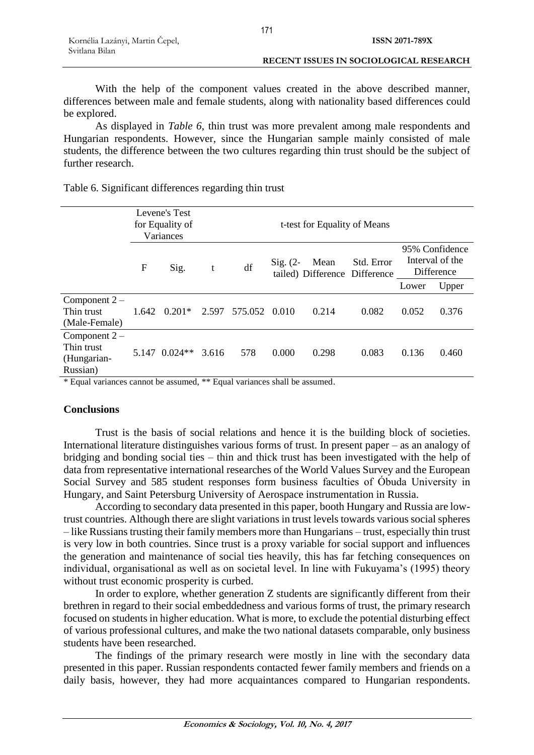With the help of the component values created in the above described manner, differences between male and female students, along with nationality based differences could be explored.

As displayed in *Table 6*, thin trust was more prevalent among male respondents and Hungarian respondents. However, since the Hungarian sample mainly consisted of male students, the difference between the two cultures regarding thin trust should be the subject of further research.

| Table 6. Significant differences regarding thin trust |  |  |
|-------------------------------------------------------|--|--|
|                                                       |  |  |

|                                                         |                   | Levene's Test<br>for Equality of<br>Variances | t-test for Equality of Means |                     |                   |       |                                             |                                                 |       |
|---------------------------------------------------------|-------------------|-----------------------------------------------|------------------------------|---------------------|-------------------|-------|---------------------------------------------|-------------------------------------------------|-------|
|                                                         | ${\rm F}$<br>Sig. |                                               | t                            | df                  | $\text{Sig.}$ (2- | Mean  | Std. Error<br>tailed) Difference Difference | 95% Confidence<br>Interval of the<br>Difference |       |
|                                                         |                   |                                               |                              |                     |                   |       |                                             | Lower                                           | Upper |
| Component $2-$<br>Thin trust<br>(Male-Female)           |                   | $1.642 \quad 0.201*$                          |                              | 2.597 575.052 0.010 |                   | 0.214 | 0.082                                       | 0.052                                           | 0.376 |
| Component $2-$<br>Thin trust<br>(Hungarian-<br>Russian) |                   | 5.147 0.024**                                 | 3.616                        | 578                 | 0.000             | 0.298 | 0.083                                       | 0.136                                           | 0.460 |

\* Equal variances cannot be assumed, \*\* Equal variances shall be assumed.

# **Conclusions**

Trust is the basis of social relations and hence it is the building block of societies. International literature distinguishes various forms of trust. In present paper – as an analogy of bridging and bonding social ties – thin and thick trust has been investigated with the help of data from representative international researches of the World Values Survey and the European Social Survey and 585 student responses form business faculties of Óbuda University in Hungary, and Saint Petersburg University of Aerospace instrumentation in Russia.

According to secondary data presented in this paper, booth Hungary and Russia are lowtrust countries. Although there are slight variations in trust levels towards various social spheres – like Russians trusting their family members more than Hungarians – trust, especially thin trust is very low in both countries. Since trust is a proxy variable for social support and influences the generation and maintenance of social ties heavily, this has far fetching consequences on individual, organisational as well as on societal level. In line with Fukuyama's (1995) theory without trust economic prosperity is curbed.

In order to explore, whether generation Z students are significantly different from their brethren in regard to their social embeddedness and various forms of trust, the primary research focused on students in higher education. What is more, to exclude the potential disturbing effect of various professional cultures, and make the two national datasets comparable, only business students have been researched.

The findings of the primary research were mostly in line with the secondary data presented in this paper. Russian respondents contacted fewer family members and friends on a daily basis, however, they had more acquaintances compared to Hungarian respondents.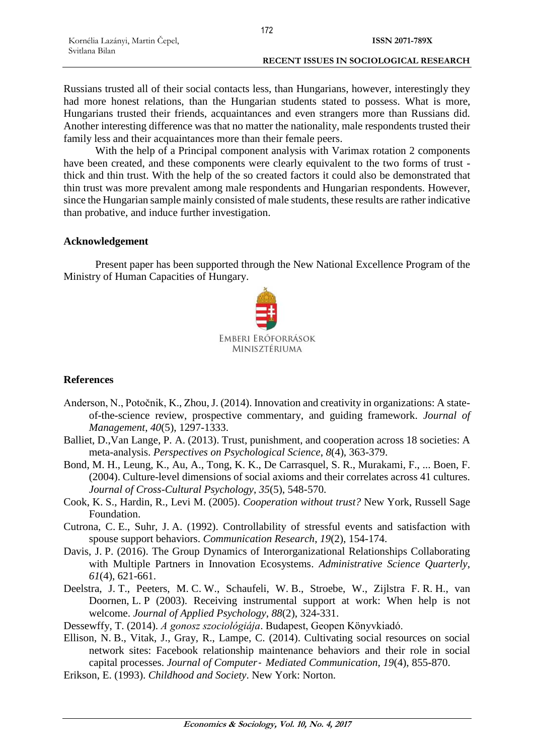Russians trusted all of their social contacts less, than Hungarians, however, interestingly they had more honest relations, than the Hungarian students stated to possess. What is more, Hungarians trusted their friends, acquaintances and even strangers more than Russians did. Another interesting difference was that no matter the nationality, male respondents trusted their family less and their acquaintances more than their female peers.

With the help of a Principal component analysis with Varimax rotation 2 components have been created, and these components were clearly equivalent to the two forms of trust thick and thin trust. With the help of the so created factors it could also be demonstrated that thin trust was more prevalent among male respondents and Hungarian respondents. However, since the Hungarian sample mainly consisted of male students, these results are rather indicative than probative, and induce further investigation.

### **Acknowledgement**

Present paper has been supported through the New National Excellence Program of the Ministry of Human Capacities of Hungary.



# **References**

- Anderson, N., Potočnik, K., Zhou, J. (2014). Innovation and creativity in organizations: A stateof-the-science review, prospective commentary, and guiding framework. *Journal of Management*, *40*(5), 1297-1333.
- Balliet, D.,Van Lange, P. A. (2013). Trust, punishment, and cooperation across 18 societies: A meta-analysis. *Perspectives on Psychological Science*, *8*(4), 363-379.
- Bond, M. H., Leung, K., Au, A., Tong, K. K., De Carrasquel, S. R., Murakami, F., ... Boen, F. (2004). Culture-level dimensions of social axioms and their correlates across 41 cultures. *Journal of Cross-Cultural Psychology*, *35*(5), 548-570.
- Cook, K. S., Hardin, R., Levi M. (2005). *Cooperation without trust?* New York, Russell Sage Foundation.
- Cutrona, C. E., Suhr, J. A. (1992). Controllability of stressful events and satisfaction with spouse support behaviors. *Communication Research*, *19*(2), 154-174.
- Davis, J. P. (2016). The Group Dynamics of Interorganizational Relationships Collaborating with Multiple Partners in Innovation Ecosystems. *Administrative Science Quarterly*, *61*(4), 621-661.
- Deelstra, J. T., Peeters, M. C. W., Schaufeli, W. B., Stroebe, W., Zijlstra F. R. H., van Doornen, L. P (2003). Receiving instrumental support at work: When help is not welcome. *Journal of Applied Psychology*, *88*(2), 324-331.
- Dessewffy, T. (2014). *A gonosz szociológiája*. Budapest, Geopen Könyvkiadó.
- Ellison, N. B., Vitak, J., Gray, R., Lampe, C. (2014). Cultivating social resources on social network sites: Facebook relationship maintenance behaviors and their role in social capital processes. *Journal of Computer*‐ *Mediated Communication*, *19*(4), 855-870.
- Erikson, E. (1993). *Childhood and Society*. New York: Norton.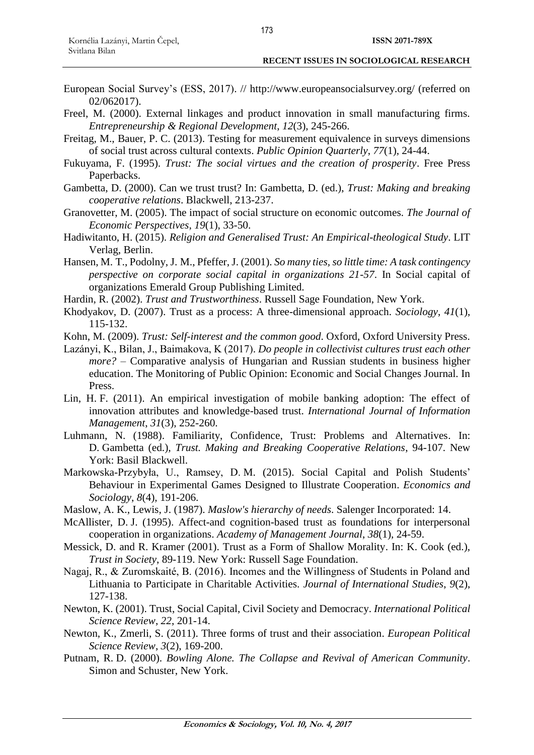- European Social Survey's (ESS, 2017). // http://www.europeansocialsurvey.org/ (referred on 02/062017).
- Freel, M. (2000). External linkages and product innovation in small manufacturing firms. *Entrepreneurship & Regional Development*, *12*(3), 245-266.
- Freitag, M., Bauer, P. C. (2013). Testing for measurement equivalence in surveys dimensions of social trust across cultural contexts. *Public Opinion Quarterly*, *77*(1), 24-44.
- Fukuyama, F. (1995). *Trust: The social virtues and the creation of prosperity*. Free Press Paperbacks.
- Gambetta, D. (2000). Can we trust trust? In: Gambetta, D. (ed.), *Trust: Making and breaking cooperative relations*. Blackwell, 213-237.
- Granovetter, M. (2005). The impact of social structure on economic outcomes. *The Journal of Economic Perspectives*, *19*(1), 33-50.
- Hadiwitanto, H. (2015). *Religion and Generalised Trust: An Empirical-theological Study*. LIT Verlag, Berlin.
- Hansen, M. T., Podolny, J. M., Pfeffer, J. (2001). *So many ties, so little time: A task contingency perspective on corporate social capital in organizations 21-57*. In Social capital of organizations Emerald Group Publishing Limited.
- Hardin, R. (2002). *Trust and Trustworthiness*. Russell Sage Foundation, New York.
- Khodyakov, D. (2007). Trust as a process: A three-dimensional approach. *Sociology*, *41*(1), 115-132.
- Kohn, M. (2009). *Trust: Self-interest and the common good*. Oxford, Oxford University Press.
- Lazányi, K., Bilan, J., Baimakova, K (2017). *Do people in collectivist cultures trust each other more?* – Comparative analysis of Hungarian and Russian students in business higher education. The Monitoring of Public Opinion: Economic and Social Changes Journal. In Press.
- Lin, H. F. (2011). An empirical investigation of mobile banking adoption: The effect of innovation attributes and knowledge-based trust. *International Journal of Information Management*, *31*(3), 252-260.
- Luhmann, N. (1988). Familiarity, Confidence, Trust: Problems and Alternatives. In: D. Gambetta (ed.), *Trust. Making and Breaking Cooperative Relations*, 94-107. New York: Basil Blackwell.
- Markowska-Przybyła, U., Ramsey, D. M. (2015). Social Capital and Polish Students' Behaviour in Experimental Games Designed to Illustrate Cooperation. *Economics and Sociology*, *8*(4), 191-206.
- Maslow, A. K., Lewis, J. (1987). *Maslow's hierarchy of needs*. Salenger Incorporated: 14.
- McAllister, D. J. (1995). Affect-and cognition-based trust as foundations for interpersonal cooperation in organizations. *Academy of Management Journal*, *38*(1), 24-59.
- Messick, D. and R. Kramer (2001). Trust as a Form of Shallow Morality. In: K. Cook (ed.), *Trust in Society*, 89-119. New York: Russell Sage Foundation.
- Nagaj, R., & Zuromskaité, B. (2016). Incomes and the Willingness of Students in Poland and Lithuania to Participate in Charitable Activities. *Journal of International Studies*, *9*(2), 127-138.
- Newton, K. (2001). Trust, Social Capital, Civil Society and Democracy. *International Political Science Review*, *22*, 201-14.
- Newton, K., Zmerli, S. (2011). Three forms of trust and their association. *European Political Science Review*, *3*(2), 169-200.
- Putnam, R. D. (2000). *Bowling Alone. The Collapse and Revival of American Community*. Simon and Schuster, New York.